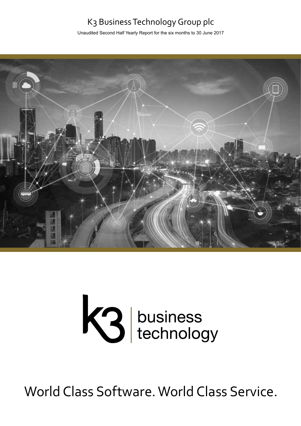## K3 Business Technology Group plc

Unaudited Second Half Yearly Report for the six months to 30 June 2017



# K3 business<br>technology

World Class Software. World Class Service.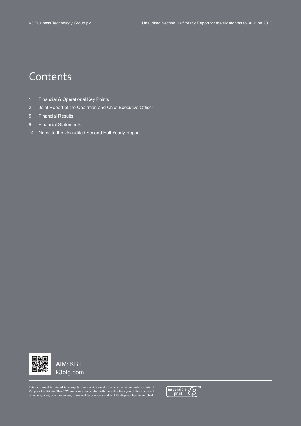# **Contents**

- 1 Financial & Operational Key Points
- 2 Joint Report of the Chairman and Chief Executive Officer
- 5 Financial Results
- 9 Financial Statements
- 14 Notes to the Unaudited Second Half Yearly Report



AIM: KBT k3btg.com

This document is printed in a supply chain which meets the strict environmental criteria of<br>Responsible Print®. The CO2 emissions associated with the entire life cycle of this document<br>including paper, print processes, con

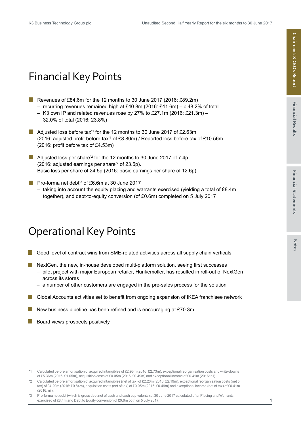# Financial Key Points

- Revenues of £84.6m for the 12 months to 30 June 2017 (2016: £89.2m)
	- $-$  recurring revenues remained high at £40.8m (2016: £41.6m) c.48.2% of total
	- $-$  K3 own IP and related revenues rose by 27% to £27.1m (2016: £21.3m)  $-$ 32.0% of total (2016: 23.8%)
- **Adjusted loss before tax**<sup>1</sup> for the 12 months to 30 June 2017 of £2.63m (2016: adjusted profit before tax\*1 of £8.80m) / Reported loss before tax of £10.56m (2016: profit before tax of £4.53m)
- Adjusted loss per share<sup> $2$ </sup> for the 12 months to 30 June 2017 of 7.4p (2016: adjusted earnings per share<sup>\*2</sup> of 23.5p). Basic loss per share of 24.5p (2016: basic earnings per share of 12.6p)
- **Pro-forma net debt<sup>\*3</sup> of £6.6m at 30 June 2017** 
	- $-$  taking into account the equity placing and warrants exercised (yielding a total of £8.4m) together), and debt-to-equity conversion (of £0.6m) completed on 5 July 2017

# Operational Key Points

- Good level of contract wins from SME-related activities across all supply chain verticals
- $\blacksquare$  NextGen, the new, in-house developed multi-platform solution, seeing first successes
	- pilot project with major European retailer, Hunkemoller, has resulted in roll-out of NextGen across its stores
	- a number of other customers are engaged in the pre-sales process for the solution
- **E** Global Accounts activities set to benefit from ongoing expansion of IKEA franchisee network
- New business pipeline has been refined and is encouraging at £70.3m
- Board views prospects positively l a l

<sup>\*1</sup> Calculated before amortisation of acquired intangibles of £2.93m (2016: £2.73m), exceptional reorganisation costs and write-downs of £5.36m (2016: £1.05m), acquisition costs of £0.05m (2016: £0.49m) and exceptional income of £0.41m (2016: nil).

<sup>\*2</sup> Calculated before amortisation of acquired intangibles (net of tax) of £2.23m (2016: £2.19m), exceptional reorganisation costs (net of tax) of £4.29m (2016: £0.84m), acquisition costs (net of tax) of £0.05m (2016: £0.49m) and exceptional income (net of tax) of £0.41m (2016: nil).

<sup>\*3</sup> Pro-forma net debt (which is gross debt net of cash and cash equivalents) at 30 June 2017 calculated after Placing and Warrants exercised of £8.4m and Debt to Equity conversion of £0.6m both on 5 July 2017.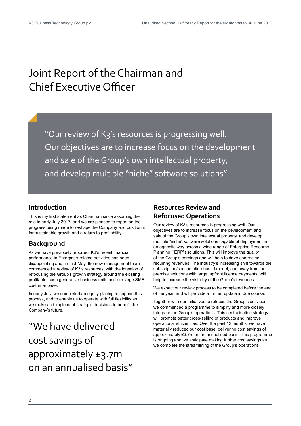# Joint Report of the Chairman and Chief Executive Officer

"Our review of K3's resources is progressing well. Our objectives are to increase focus on the development and sale of the Group's own intellectual property, and develop multiple "niche" software solutions"

#### **Introduction**

This is my first statement as Chairman since assuming the role in early July 2017, and we are pleased to report on the progress being made to reshape the Company and position it for sustainable growth and a return to profitability.

#### **Background**

As we have previously reported, K3's recent financial performance in Enterprise-related activities has been disappointing and, in mid-May, the new management team commenced a review of K3's resources, with the intention of refocusing the Group's growth strategy around the existing profitable, cash generative business units and our large SME customer base.

In early July, we completed an equity placing to support this process, and to enable us to operate with full flexibility as we make and implement strategic decisions to benefit the Company's future.

# "We have delivered cost savings of approximately £3.7m on an annualised basis"

#### **Resources Review and Refocused Operations**

Our review of K3's resources is progressing well. Our objectives are to increase focus on the development and sale of the Group's own intellectual property, and develop multiple "niche" software solutions capable of deployment in an agnostic way across a wide range of Enterprise Resource Planning ("ERP") solutions. This will improve the quality of the Group's earnings and will help to drive contracted, recurring revenues. The industry's increasing shift towards the subscription/consumption-based model, and away from 'onpremise' solutions with large, upfront licence payments, will help to increase the visibility of the Group's revenues.

We expect our review process to be completed before the end of the year, and will provide a further update in due course.

Together with our initiatives to refocus the Group's activities, we commenced a programme to simplify and more closely integrate the Group's operations. This centralisation strategy will promote better cross-selling of products and improve operational efficiencies. Over the past 12 months, we have materially reduced our cost base, delivering cost savings of approximately £3.7m on an annualised basis. This programme is ongoing and we anticipate making further cost savings as we complete the streamlining of the Group's operations.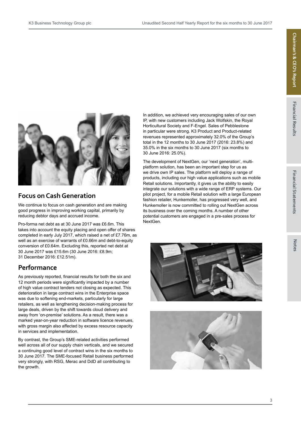



#### **Focus on Cash Generation**

We continue to focus on cash generation and are making good progress in improving working capital, primarily by reducing debtor days and accrued income.

Pro-forma net debt as at 30 June 2017 was £6.6m. This takes into account the equity placing and open offer of shares completed in early July 2017, which raised a net of £7.76m, as well as an exercise of warrants of £0.66m and debt-to-equity conversion of £0.64m. Excluding this, reported net debt at 30 June 2017 was £15.6m (30 June 2016: £8.9m; 31 December 2016: £12.51m).

#### **Performance**

As previously reported, financial results for both the six and 12 month periods were significantly impacted by a number of high value contract tenders not closing as expected. This deterioration in large contract wins in the Enterprise space was due to softening end-markets, particularly for large retailers, as well as lengthening decision-making process for large deals, driven by the shift towards cloud delivery and away from 'on-premise' solutions. As a result, there was a marked year-on-year reduction in software licence revenues, with gross margin also affected by excess resource capacity in services and implementation.

By contrast, the Group's SME-related activities performed well across all of our supply chain verticals, and we secured a continuing good level of contract wins in the six months to 30 June 2017. The SME-focused Retail business performed very strongly, with RSG, Merac and DdD all contributing to the growth.

In addition, we achieved very encouraging sales of our own IP, with new customers including Jack Wolfskin, the Royal Horticultural Society and F-Engel. Sales of Pebblestone in particular were strong. K3 Product and Product-related revenues represented approximately 32.0% of the Group's total in the 12 months to 30 June 2017 (2016: 23.8%) and 35.0% in the six months to 30 June 2017 (six months to 30 June 2016: 25.0%).

The development of NextGen, our 'next generation', multiplatform solution, has been an important step for us as we drive own IP sales. The platform will deploy a range of products, including our high value applications such as mobile Retail solutions. Importantly, it gives us the ability to easily integrate our solutions with a wide range of ERP systems. Our pilot project, for a mobile Retail solution with a large European fashion retailer, Hunkemoller, has progressed very well, and Hunkemoller is now committed to rolling out NextGen across its business over the coming months. A number of other potential customers are engaged in a pre-sales process for NextGen.



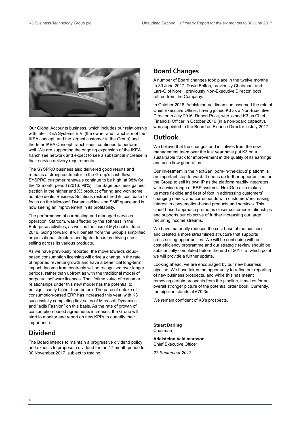

Our Global Accounts business, which includes our relationship with Inter IKEA Systems B.V. (the owner and franchisor of the IKEA concept, and the largest customer in the Group) and the Inter IKEA Concept franchisees, continued to perform well. We are supporting the ongoing expansion of the IKEA franchisee network and expect to see a substantial increase in their service delivery requirements.

The SYSPRO business also delivered good results and remains a strong contributor to the Group's cash flows. SYSPRO customer renewals continue to be high, at 98% for the 12 month period (2016: 98%). The Sage business gained traction in the higher end X3 product offering and won some notable deals. Business Solutions restructured its cost base to focus on the Microsoft Dynamics/Navision SME space and is now seeing an improvement in its profitability.

The performance of our hosting and managed services operation, Starcom, was affected by the softness in the Enterprise activities, as well as the loss of MyLocal in June 2016. Going forward, it will benefit from the Group's simplified organisational structure and tighter focus on driving crossselling across its various products.

As we have previously reported, the move towards cloudbased consumption licensing will drive a change in the rate of reported revenue growth and have a beneficial long-term impact. Income from contracts will be recognised over longer periods, rather than upfront as with the traditional model of perpetual software licences. The lifetime value of customer relationships under this new model has the potential to be significantly higher than before. The pace of uptake of consumption-based ERP has increased this year, with K3 successfully completing first sales of Microsoft Dynamics and "ax|is Fashion" on this basis. As the rate of growth of consumption-based agreements increases, the Group will start to monitor and report on new KPI's to quantify their importance.

#### **Dividend**

The Board intends to maintain a progressive dividend policy and expects to propose a dividend for the 17 month period to 30 November 2017, subject to trading.

#### **Board Changes**

A number of Board changes took place in the twelve months to 30 June 2017. David Bolton, previously Chairman, and Lars-Olof Norell, previously Non-Executive Director, both retired from the Company.

In October 2016, Adalsteinn Valdimarsson assumed the role of Chief Executive Officer, having joined K3 as a Non-Executive Director in July 2016. Robert Price, who joined K3 as Chief Financial Officer in October 2016 (in a non-board capacity), was appointed to the Board as Finance Director in July 2017.

#### **Outlook**

We believe that the changes and initiatives from the new management team over the last year have put K3 on a sustainable track for improvement in the quality of its earnings and cash flow generation.

Our investment in the NextGen 'born-in-the-cloud' platform is an important step forward. It opens up further opportunities for the Group to sell its own IP as the platform readily integrates with a wide range of ERP systems. NextGen also makes us more flexible and fleet of foot in addressing customers' changing needs, and corresponds with customers' increasing interest in consumption-based products and services. This cloud-based approach promotes closer customer relationships and supports our objective of further increasing our large recurring income streams.

We have materially reduced the cost base of the business and created a more streamlined structure that supports cross-selling opportunities. We will be continuing with our cost efficiency programme and our strategic review should be substantially completed before the end of 2017, at which point we will provide a further update.

Looking ahead, we are encouraged by our new business pipeline. We have taken the opportunity to refine our reporting of new business prospects, and while this has meant removing certain prospects from the pipeline, it makes for an overall stronger picture of the potential order book. Currently, the pipeline stands at £70.3m.

We remain confident of K3's prospects.

**Stuart Darling** Chairman

#### **Adalsteinn Valdimarsson** Chief Executive Officer

*27 September 2017*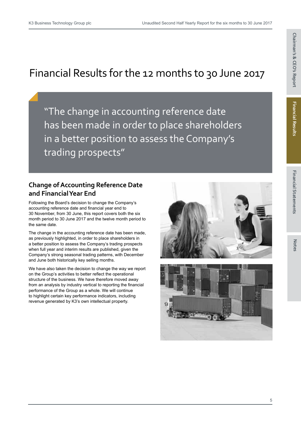# Chairman's & CEO's Report **Chairman's & CEO's Report**

# Financial Results for the 12 months to 30 June 2017

"The change in accounting reference date has been made in order to place shareholders in a better position to assess the Company's trading prospects"

#### **Change of Accounting Reference Date and Financial Year End**

Following the Board's decision to change the Company's accounting reference date and financial year end to 30 November, from 30 June, this report covers both the six month period to 30 June 2017 and the twelve month period to the same date.

The change in the accounting reference date has been made, as previously highlighted, in order to place shareholders in a better position to assess the Company's trading prospects when full year and interim results are published, given the Company's strong seasonal trading patterns, with December and June both historically key selling months.

We have also taken the decision to change the way we report on the Group's activities to better reflect the operational structure of the business. We have therefore moved away from an analysis by industry vertical to reporting the financial performance of the Group as a whole. We will continue to highlight certain key performance indicators, including revenue generated by K3's own intellectual property.



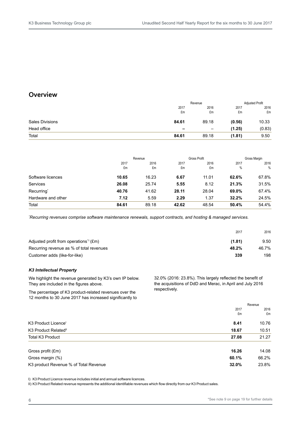#### **Overview**

|                        |       | Revenue                  |        | <b>Adjusted Profit</b> |  |
|------------------------|-------|--------------------------|--------|------------------------|--|
|                        | 2017  | 2016                     | 2017   | 2016                   |  |
|                        | £m    | £m                       | £m     | £m                     |  |
| <b>Sales Divisions</b> | 84.61 | 89.18                    | (0.56) | 10.33                  |  |
| Head office            | -     | $\overline{\phantom{m}}$ | (1.25) | (0.83)                 |  |
| Total                  | 84.61 | 89.18                    | (1.81) | 9.50                   |  |

|                        |       | Revenue |       | Gross Profit |       | Gross Margin |
|------------------------|-------|---------|-------|--------------|-------|--------------|
|                        | 2017  | 2016    | 2017  | 2016         | 2017  | 2016         |
|                        | £m    | £m      | £m    | £m           | $\%$  | $\%$         |
| Software licences      | 10.65 | 16.23   | 6.67  | 11.01        | 62.6% | 67.8%        |
| Services               | 26.08 | 25.74   | 5.55  | 8.12         | 21.3% | 31.5%        |
| Recurring <sup>*</sup> | 40.76 | 41.62   | 28.11 | 28.04        | 69.0% | 67.4%        |
| Hardware and other     | 7.12  | 5.59    | 2.29  | 1.37         | 32.2% | 24.5%        |
| Total                  | 84.61 | 89.18   | 42.62 | 48.54        | 50.4% | 54.4%        |

*\* Recurring revenues comprise software maintenance renewals, support contracts, and hosting & managed services.*

| 2017                                                         | 2016  |
|--------------------------------------------------------------|-------|
| Adjusted profit from operations <sup>*1</sup> (£m)<br>(1.81) | 9.50  |
| Recurring revenue as % of total revenues<br>48.2%            | 46.7% |
| 339<br>Customer adds (like-for-like)                         | 198   |

#### *K3 Intellectual Property*

We highlight the revenue generated by K3's own IP below. They are included in the figures above.

The percentage of K3 product-related revenues over the 12 months to 30 June 2017 has increased significantly to 32.0% (2016: 23.8%). This largely reflected the benefit of the acquisitions of DdD and Merac, in April and July 2016 respectively.

|                                                | Revenue |
|------------------------------------------------|---------|
| 2017                                           | 2016    |
| £m                                             | £m      |
| K3 Product Licence <sup>1</sup><br>8.41        | 10.76   |
| K3 Product Related"<br>18.67                   | 10.51   |
| Total K3 Product<br>27.08                      | 21.27   |
| Gross profit (£m)<br>16.26                     | 14.08   |
| Gross margin (%)<br>60.1%                      | 66.2%   |
| 32.0%<br>K3 product Revenue % of Total Revenue | 23.8%   |

I) K3 Product Licence revenue includes initial and annual software licences.

II) K3 Product Related revenue represents the additional identifiable revenues which flow directly from our K3 Product sales.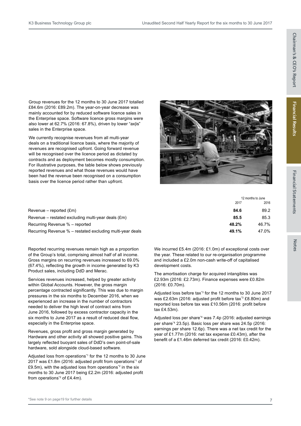12 months to June

Group revenues for the 12 months to 30 June 2017 totalled £84.6m (2016: £89.2m). The year-on-year decrease was mainly accounted for by reduced software licence sales in the Enterprise space. Software licence gross margins were also lower at 62.7% (2016: 67.8%), driven by lower "ax|is" sales in the Enterprise space.

We currently recognise revenues from all multi-year deals on a traditional licence basis, where the majority of revenues are recognised upfront. Going forward revenue will be recognised over the licence period as dictated by contracts and as deployment becomes mostly consumption. For illustrative purposes, the table below shows previously reported revenues and what those revenues would have been had the revenue been recognised on a consumption basis over the licence period rather than upfront.



| Revenue – reported (£m)<br>84.6<br>Revenue – restated excluding multi-year deals (£m)<br>85.5<br>Recurring Revenue % – reported<br>48.2%<br>49.1%<br>Recurring Revenue % – restated excluding multi-year deals | 2017 | 2016  |
|----------------------------------------------------------------------------------------------------------------------------------------------------------------------------------------------------------------|------|-------|
|                                                                                                                                                                                                                |      | 89.2  |
|                                                                                                                                                                                                                |      | 85.3  |
|                                                                                                                                                                                                                |      | 46.7% |
|                                                                                                                                                                                                                |      | 47.0% |

Reported recurring revenues remain high as a proportion of the Group's total, comprising almost half of all income. Gross margins on recurring revenues increased to 69.0% (67.4%), reflecting the growth in income generated by K3 Product sales, including DdD and Merac.

Services revenues increased, helped by greater activity within Global Accounts. However, the gross margin percentage contracted significantly. This was due to margin pressures in the six months to December 2016, when we experienced an increase in the number of contractors needed to deliver the high level of contract wins from June 2016, followed by excess contractor capacity in the six months to June 2017 as a result of reduced deal flow, especially in the Enterprise space.

Revenues, gross profit and gross margin generated by Hardware and other activity all showed positive gains. This largely reflected buoyant sales of DdD's own point-of-sale hardware, sold alongside cloud-based software.

Adjusted loss from operations\*1 for the 12 months to 30 June 2017 was £1.8m (2016: adjusted profit from operations\*1 of £9.5m), with the adjusted loss from operations $2$  in the six months to 30 June 2017 being £2.2m (2016: adjusted profit from operations<sup>\*2</sup> of £4.4m).

We incurred £5.4m (2016: £1.0m) of exceptional costs over the year. These related to our re-organisation programme and included a £2.0m non-cash write-off of capitalised development costs.

The amortisation charge for acquired intangibles was £2.93m (2016: £2.73m). Finance expenses were £0.82m (2016: £0.70m).

Adjusted loss before tax<sup>3</sup> for the 12 months to 30 June 2017 was £2.63m (2016: adjusted profit before tax<sup>3</sup> £8.80m) and reported loss before tax was £10.56m (2016: profit before tax £4.53m).

Adjusted loss per share\*4 was 7.4p (2016: adjusted earnings per share\*4 23.5p). Basic loss per share was 24.5p (2016: earnings per share 12.6p). There was a net tax credit for the year of £1.77m (2016: net tax expense £0.43m), after the benefit of a £1.46m deferred tax credit (2016: £0.42m).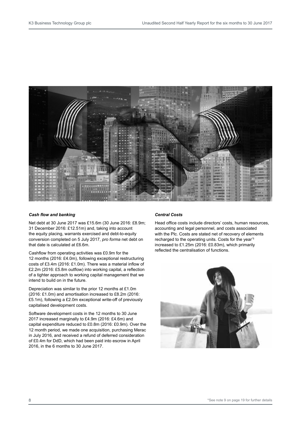![](_page_9_Picture_2.jpeg)

#### *Cash flow and banking*

Net debt at 30 June 2017 was £15.6m (30 June 2016: £8.9m; 31 December 2016: £12.51m) and, taking into account the equity placing, warrants exercised and debt-to-equity conversion completed on 5 July 2017, *pro forma* net debt on that date is calculated at £6.6m.

Cashflow from operating activities was £0.9m for the 12 months (2016: £4.0m), following exceptional restructuring costs of £3.4m (2016: £1.0m). There was a material inflow of £2.2m (2016: £5.8m outflow) into working capital, a reflection of a tighter approach to working capital management that we intend to build on in the future.

Depreciation was similar to the prior 12 months at £1.0m (2016: £1.0m) and amortisation increased to £8.2m (2016: £5.1m), following a £2.0m exceptional write-off of previously capitalised development costs.

Software development costs in the 12 months to 30 June 2017 increased marginally to £4.9m (2016: £4.6m) and capital expenditure reduced to £0.8m (2016: £0.9m). Over the 12 month period, we made one acquisition, purchasing Merac in July 2016, and received a refund of deferred consideration of £0.4m for DdD, which had been paid into escrow in April 2016, in the 6 months to 30 June 2017.

#### *Central Costs*

Head office costs include directors' costs, human resources, accounting and legal personnel, and costs associated with the Plc. Costs are stated net of recovery of elements recharged to the operating units. Costs for the year\*5 increased to £1.25m (2016: £0.83m), which primarily reflected the centralisation of functions.

![](_page_9_Picture_10.jpeg)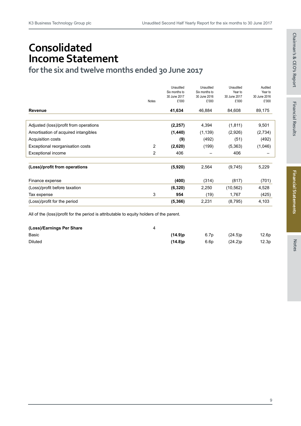# **Consolidated Income Statement**

**for the six and twelve months ended 30 June 2017**

|   | Unaudited | Unaudited                                                  | Unaudited                                                | Audited                                     |
|---|-----------|------------------------------------------------------------|----------------------------------------------------------|---------------------------------------------|
|   |           |                                                            |                                                          | Year to<br>30 June 2016                     |
|   |           |                                                            |                                                          | £'000                                       |
|   |           |                                                            |                                                          |                                             |
|   | 41,634    | 46,884                                                     | 84,608                                                   | 89,175                                      |
|   |           |                                                            |                                                          |                                             |
|   | (2, 257)  | 4,394                                                      | (1, 811)                                                 | 9,501                                       |
|   | (1,440)   | (1, 139)                                                   | (2,926)                                                  | (2,734)                                     |
|   | (9)       | (492)                                                      | (51)                                                     | (492)                                       |
| 2 | (2,620)   | (199)                                                      | (5,363)                                                  | (1,046)                                     |
| 2 | 406       |                                                            | 406                                                      |                                             |
|   |           |                                                            |                                                          |                                             |
|   |           |                                                            |                                                          | 5,229                                       |
|   |           |                                                            | (817)                                                    | (701)                                       |
|   | (6,320)   | 2,250                                                      | (10, 562)                                                | 4,528                                       |
| 3 | 954       | (19)                                                       | 1,767                                                    | (425)                                       |
|   | (5, 366)  | 2,231                                                      | (8,795)                                                  | 4,103                                       |
|   | Notes     | Six months to<br>30 June 2017<br>£'000<br>(5,920)<br>(400) | Six months to<br>30 June 2016<br>£'000<br>2,564<br>(314) | Year to<br>30 June 2017<br>£'000<br>(9,745) |

All of the (loss)/profit for the period is attributable to equity holders of the parent.

| (Loss)/Earnings Per Share |            |                  |            |                   |
|---------------------------|------------|------------------|------------|-------------------|
| Basic                     | $(14.9)$ p | 6.7 <sub>p</sub> | (24.5)p    | 12.6p             |
| <b>Diluted</b>            | $(14.8)$ p | 6.6 <sub>D</sub> | $(24.2)$ p | 12.3 <sub>D</sub> |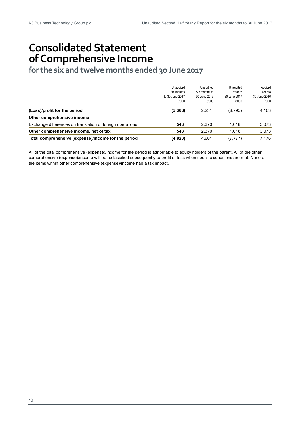# **Consolidated Statement of Comprehensive Income**

**for the six and twelve months ended 30 June 2017**

|                                                           | Unaudited       | Unaudited     | Unaudited    | Audited      |
|-----------------------------------------------------------|-----------------|---------------|--------------|--------------|
|                                                           | Six months      | Six months to | Year to      | Year to      |
|                                                           | to 30 June 2017 | 30 June 2016  | 30 June 2017 | 30 June 2016 |
|                                                           | £'000           | £'000         | £'000        | £'000        |
| (Loss)/profit for the period                              | (5, 366)        | 2.231         | (8,795)      | 4,103        |
| Other comprehensive income                                |                 |               |              |              |
| Exchange differences on translation of foreign operations | 543             | 2.370         | 1.018        | 3,073        |
| Other comprehensive income, net of tax                    | 543             | 2.370         | 1.018        | 3.073        |
| Total comprehensive (expense)/income for the period       | (4,823)         | 4,601         | (7, 777)     | 7.176        |

All of the total comprehensive (expense)/income for the period is attributable to equity holders of the parent. All of the other comprehensive (expense)/income will be reclassified subsequently to profit or loss when specific conditions are met. None of the items within other comprehensive (expense)/income had a tax impact.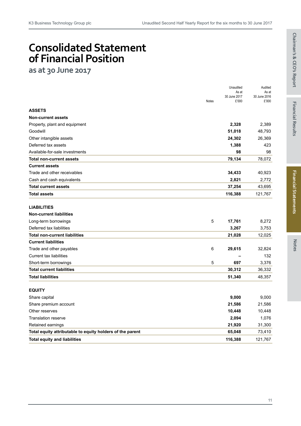# **Consolidated Statement of Financial Position**

**as at 30 June 2017**

| 30 June 2017<br>30 June 2016<br>£'000<br><b>Notes</b><br>£'000<br><b>ASSETS</b><br><b>Non-current assets</b><br>2,328<br>2,389<br>Property, plant and equipment<br>51,018<br>48,793<br>Goodwill<br>24,302<br>26,369<br>Other intangible assets<br>Deferred tax assets<br>1,388<br>423<br>98<br>Available-for-sale investments<br>98<br>79,134<br>78,072<br><b>Total non-current assets</b><br><b>Current assets</b><br>Trade and other receivables<br>34,433<br>40,923<br>Cash and cash equivalents<br>2,821<br>2,772<br>37,254<br><b>Total current assets</b><br>43,695<br>116,388<br>121,767<br><b>Total assets</b><br><b>LIABILITIES</b><br><b>Non-current liabilities</b><br>5<br>17,761<br>8,272<br>Long-term borrowings<br>3,267<br>Deferred tax liabilities<br>3,753<br><b>Total non-current liabilities</b><br>21,028<br>12,025<br><b>Current liabilities</b><br>6<br>Trade and other payables<br>29,615<br>32,824<br><b>Current tax liabilities</b><br>132<br>5<br>697<br>Short-term borrowings<br>3,376<br><b>Total current liabilities</b><br>30,312<br>36,332<br><b>Total liabilities</b><br>51,340<br>48,357<br><b>EQUITY</b><br>9,000<br>9,000<br>Share capital<br>21,586<br>21,586<br>Share premium account<br>Other reserves<br>10,448<br>10,448<br>2,094<br>1,076<br><b>Translation reserve</b><br>21,920<br>31,300<br>Retained earnings<br>Total equity attributable to equity holders of the parent<br>65,048<br>73,410<br><b>Total equity and liabilities</b><br>116,388<br>121,767 |  | Unaudited<br>As at | Audited<br>As at |
|---------------------------------------------------------------------------------------------------------------------------------------------------------------------------------------------------------------------------------------------------------------------------------------------------------------------------------------------------------------------------------------------------------------------------------------------------------------------------------------------------------------------------------------------------------------------------------------------------------------------------------------------------------------------------------------------------------------------------------------------------------------------------------------------------------------------------------------------------------------------------------------------------------------------------------------------------------------------------------------------------------------------------------------------------------------------------------------------------------------------------------------------------------------------------------------------------------------------------------------------------------------------------------------------------------------------------------------------------------------------------------------------------------------------------------------------------------------------------------------------------------|--|--------------------|------------------|
|                                                                                                                                                                                                                                                                                                                                                                                                                                                                                                                                                                                                                                                                                                                                                                                                                                                                                                                                                                                                                                                                                                                                                                                                                                                                                                                                                                                                                                                                                                         |  |                    |                  |
|                                                                                                                                                                                                                                                                                                                                                                                                                                                                                                                                                                                                                                                                                                                                                                                                                                                                                                                                                                                                                                                                                                                                                                                                                                                                                                                                                                                                                                                                                                         |  |                    |                  |
|                                                                                                                                                                                                                                                                                                                                                                                                                                                                                                                                                                                                                                                                                                                                                                                                                                                                                                                                                                                                                                                                                                                                                                                                                                                                                                                                                                                                                                                                                                         |  |                    |                  |
|                                                                                                                                                                                                                                                                                                                                                                                                                                                                                                                                                                                                                                                                                                                                                                                                                                                                                                                                                                                                                                                                                                                                                                                                                                                                                                                                                                                                                                                                                                         |  |                    |                  |
|                                                                                                                                                                                                                                                                                                                                                                                                                                                                                                                                                                                                                                                                                                                                                                                                                                                                                                                                                                                                                                                                                                                                                                                                                                                                                                                                                                                                                                                                                                         |  |                    |                  |
|                                                                                                                                                                                                                                                                                                                                                                                                                                                                                                                                                                                                                                                                                                                                                                                                                                                                                                                                                                                                                                                                                                                                                                                                                                                                                                                                                                                                                                                                                                         |  |                    |                  |
|                                                                                                                                                                                                                                                                                                                                                                                                                                                                                                                                                                                                                                                                                                                                                                                                                                                                                                                                                                                                                                                                                                                                                                                                                                                                                                                                                                                                                                                                                                         |  |                    |                  |
|                                                                                                                                                                                                                                                                                                                                                                                                                                                                                                                                                                                                                                                                                                                                                                                                                                                                                                                                                                                                                                                                                                                                                                                                                                                                                                                                                                                                                                                                                                         |  |                    |                  |
|                                                                                                                                                                                                                                                                                                                                                                                                                                                                                                                                                                                                                                                                                                                                                                                                                                                                                                                                                                                                                                                                                                                                                                                                                                                                                                                                                                                                                                                                                                         |  |                    |                  |
|                                                                                                                                                                                                                                                                                                                                                                                                                                                                                                                                                                                                                                                                                                                                                                                                                                                                                                                                                                                                                                                                                                                                                                                                                                                                                                                                                                                                                                                                                                         |  |                    |                  |
|                                                                                                                                                                                                                                                                                                                                                                                                                                                                                                                                                                                                                                                                                                                                                                                                                                                                                                                                                                                                                                                                                                                                                                                                                                                                                                                                                                                                                                                                                                         |  |                    |                  |
|                                                                                                                                                                                                                                                                                                                                                                                                                                                                                                                                                                                                                                                                                                                                                                                                                                                                                                                                                                                                                                                                                                                                                                                                                                                                                                                                                                                                                                                                                                         |  |                    |                  |
|                                                                                                                                                                                                                                                                                                                                                                                                                                                                                                                                                                                                                                                                                                                                                                                                                                                                                                                                                                                                                                                                                                                                                                                                                                                                                                                                                                                                                                                                                                         |  |                    |                  |
|                                                                                                                                                                                                                                                                                                                                                                                                                                                                                                                                                                                                                                                                                                                                                                                                                                                                                                                                                                                                                                                                                                                                                                                                                                                                                                                                                                                                                                                                                                         |  |                    |                  |
|                                                                                                                                                                                                                                                                                                                                                                                                                                                                                                                                                                                                                                                                                                                                                                                                                                                                                                                                                                                                                                                                                                                                                                                                                                                                                                                                                                                                                                                                                                         |  |                    |                  |
|                                                                                                                                                                                                                                                                                                                                                                                                                                                                                                                                                                                                                                                                                                                                                                                                                                                                                                                                                                                                                                                                                                                                                                                                                                                                                                                                                                                                                                                                                                         |  |                    |                  |
|                                                                                                                                                                                                                                                                                                                                                                                                                                                                                                                                                                                                                                                                                                                                                                                                                                                                                                                                                                                                                                                                                                                                                                                                                                                                                                                                                                                                                                                                                                         |  |                    |                  |
|                                                                                                                                                                                                                                                                                                                                                                                                                                                                                                                                                                                                                                                                                                                                                                                                                                                                                                                                                                                                                                                                                                                                                                                                                                                                                                                                                                                                                                                                                                         |  |                    |                  |
|                                                                                                                                                                                                                                                                                                                                                                                                                                                                                                                                                                                                                                                                                                                                                                                                                                                                                                                                                                                                                                                                                                                                                                                                                                                                                                                                                                                                                                                                                                         |  |                    |                  |
|                                                                                                                                                                                                                                                                                                                                                                                                                                                                                                                                                                                                                                                                                                                                                                                                                                                                                                                                                                                                                                                                                                                                                                                                                                                                                                                                                                                                                                                                                                         |  |                    |                  |
|                                                                                                                                                                                                                                                                                                                                                                                                                                                                                                                                                                                                                                                                                                                                                                                                                                                                                                                                                                                                                                                                                                                                                                                                                                                                                                                                                                                                                                                                                                         |  |                    |                  |
|                                                                                                                                                                                                                                                                                                                                                                                                                                                                                                                                                                                                                                                                                                                                                                                                                                                                                                                                                                                                                                                                                                                                                                                                                                                                                                                                                                                                                                                                                                         |  |                    |                  |
|                                                                                                                                                                                                                                                                                                                                                                                                                                                                                                                                                                                                                                                                                                                                                                                                                                                                                                                                                                                                                                                                                                                                                                                                                                                                                                                                                                                                                                                                                                         |  |                    |                  |
|                                                                                                                                                                                                                                                                                                                                                                                                                                                                                                                                                                                                                                                                                                                                                                                                                                                                                                                                                                                                                                                                                                                                                                                                                                                                                                                                                                                                                                                                                                         |  |                    |                  |
|                                                                                                                                                                                                                                                                                                                                                                                                                                                                                                                                                                                                                                                                                                                                                                                                                                                                                                                                                                                                                                                                                                                                                                                                                                                                                                                                                                                                                                                                                                         |  |                    |                  |
|                                                                                                                                                                                                                                                                                                                                                                                                                                                                                                                                                                                                                                                                                                                                                                                                                                                                                                                                                                                                                                                                                                                                                                                                                                                                                                                                                                                                                                                                                                         |  |                    |                  |
|                                                                                                                                                                                                                                                                                                                                                                                                                                                                                                                                                                                                                                                                                                                                                                                                                                                                                                                                                                                                                                                                                                                                                                                                                                                                                                                                                                                                                                                                                                         |  |                    |                  |
|                                                                                                                                                                                                                                                                                                                                                                                                                                                                                                                                                                                                                                                                                                                                                                                                                                                                                                                                                                                                                                                                                                                                                                                                                                                                                                                                                                                                                                                                                                         |  |                    |                  |
|                                                                                                                                                                                                                                                                                                                                                                                                                                                                                                                                                                                                                                                                                                                                                                                                                                                                                                                                                                                                                                                                                                                                                                                                                                                                                                                                                                                                                                                                                                         |  |                    |                  |
|                                                                                                                                                                                                                                                                                                                                                                                                                                                                                                                                                                                                                                                                                                                                                                                                                                                                                                                                                                                                                                                                                                                                                                                                                                                                                                                                                                                                                                                                                                         |  |                    |                  |
|                                                                                                                                                                                                                                                                                                                                                                                                                                                                                                                                                                                                                                                                                                                                                                                                                                                                                                                                                                                                                                                                                                                                                                                                                                                                                                                                                                                                                                                                                                         |  |                    |                  |
|                                                                                                                                                                                                                                                                                                                                                                                                                                                                                                                                                                                                                                                                                                                                                                                                                                                                                                                                                                                                                                                                                                                                                                                                                                                                                                                                                                                                                                                                                                         |  |                    |                  |
|                                                                                                                                                                                                                                                                                                                                                                                                                                                                                                                                                                                                                                                                                                                                                                                                                                                                                                                                                                                                                                                                                                                                                                                                                                                                                                                                                                                                                                                                                                         |  |                    |                  |
|                                                                                                                                                                                                                                                                                                                                                                                                                                                                                                                                                                                                                                                                                                                                                                                                                                                                                                                                                                                                                                                                                                                                                                                                                                                                                                                                                                                                                                                                                                         |  |                    |                  |
|                                                                                                                                                                                                                                                                                                                                                                                                                                                                                                                                                                                                                                                                                                                                                                                                                                                                                                                                                                                                                                                                                                                                                                                                                                                                                                                                                                                                                                                                                                         |  |                    |                  |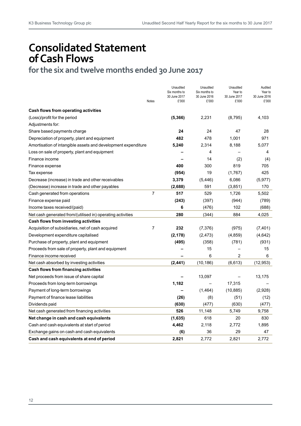# **Consolidated Statement of Cash Flows**

**for the six and twelve months ended 30 June 2017**

|                                                               | <b>Notes</b>   | Unaudited<br>Six months to<br>30 June 2017<br>£'000 | Unaudited<br>Six months to<br>30 June 2016<br>£'000 | Unaudited<br>Year to<br>30 June 2017<br>£'000 | Audited<br>Year to<br>30 June 2016<br>£'000 |
|---------------------------------------------------------------|----------------|-----------------------------------------------------|-----------------------------------------------------|-----------------------------------------------|---------------------------------------------|
| Cash flows from operating activities                          |                |                                                     |                                                     |                                               |                                             |
| (Loss)/profit for the period                                  |                | (5, 366)                                            | 2,231                                               | (8,795)                                       | 4,103                                       |
| Adjustments for:                                              |                |                                                     |                                                     |                                               |                                             |
| Share based payments charge                                   |                | 24                                                  | 24                                                  | 47                                            | 28                                          |
| Depreciation of property, plant and equipment                 |                | 482                                                 | 478                                                 | 1,001                                         | 971                                         |
| Amortisation of intangible assets and development expenditure |                | 5,240                                               | 2,314                                               | 8,188                                         | 5,077                                       |
| Loss on sale of property, plant and equipment                 |                |                                                     | 4                                                   |                                               | 4                                           |
| Finance income                                                |                |                                                     | 14                                                  | (2)                                           | (4)                                         |
| Finance expense                                               |                | 400                                                 | 300                                                 | 819                                           | 705                                         |
| Tax expense                                                   |                | (954)                                               | 19                                                  | (1,767)                                       | 425                                         |
| Decrease (increase) in trade and other receivables            |                | 3,379                                               | (5, 446)                                            | 6,086                                         | (5, 977)                                    |
| (Decrease) increase in trade and other payables               |                | (2,688)                                             | 591                                                 | (3,851)                                       | 170                                         |
| Cash generated from operations                                | $\overline{7}$ | 517                                                 | 529                                                 | 1,726                                         | 5,502                                       |
| Finance expense paid                                          |                | (243)                                               | (397)                                               | (944)                                         | (789)                                       |
| Income taxes received/(paid)                                  |                | 6                                                   | (476)                                               | 102                                           | (688)                                       |
| Net cash generated from/(utilised in) operating activities    |                | 280                                                 | (344)                                               | 884                                           | 4,025                                       |
| Cash flows from investing activities                          |                |                                                     |                                                     |                                               |                                             |
| Acquisition of subsidiaries, net of cash acquired             | $\overline{7}$ | 232                                                 | (7, 376)                                            | (975)                                         | (7, 401)                                    |
| Development expenditure capitalised                           |                | (2, 178)                                            | (2, 473)                                            | (4, 859)                                      | (4,642)                                     |
| Purchase of property, plant and equipment                     |                | (495)                                               | (358)                                               | (781)                                         | (931)                                       |
| Proceeds from sale of property, plant and equipment           |                |                                                     | 15                                                  |                                               | 15                                          |
| Finance income received                                       |                |                                                     | 6                                                   | 2                                             | 6                                           |
| Net cash absorbed by investing activities                     |                | (2, 441)                                            | (10, 186)                                           | (6.613)                                       | (12, 953)                                   |
| Cash flows from financing activities                          |                |                                                     |                                                     |                                               |                                             |
| Net proceeds from issue of share capital                      |                |                                                     | 13,097                                              |                                               | 13,175                                      |
| Proceeds from long-term borrowings                            |                | 1,182                                               |                                                     | 17,315                                        |                                             |
| Payment of long-term borrowings                               |                |                                                     | (1,464)                                             | (10, 885)                                     | (2,928)                                     |
| Payment of finance lease liabilities                          |                | (26)                                                | (8)                                                 | (51)                                          | (12)                                        |
| Dividends paid                                                |                | (630)                                               | (477)                                               | (630)                                         | (477)                                       |
| Net cash generated from financing activities                  |                | 526                                                 | 11,148                                              | 5,749                                         | 9,758                                       |
| Net change in cash and cash equivalents                       |                | (1,635)                                             | 618                                                 | 20                                            | 830                                         |
| Cash and cash equivalents at start of period                  |                | 4,462                                               | 2,118                                               | 2,772                                         | 1,895                                       |
| Exchange gains on cash and cash equivalents                   |                | (6)                                                 | 36                                                  | 29                                            | 47                                          |
| Cash and cash equivalents at end of period                    |                | 2,821                                               | 2.772                                               | 2.821                                         | 2.772                                       |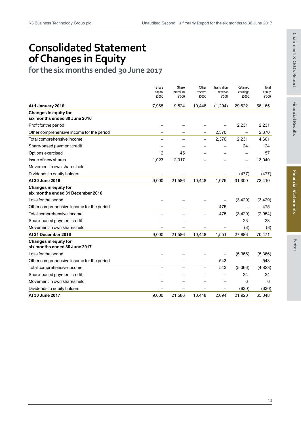# **Consolidated Statement of Changes in Equity**

**for the six months ended 30 June 2017**

|                                                                   | Share            | Share   | Other            | Translation      | Retained          | Total    |
|-------------------------------------------------------------------|------------------|---------|------------------|------------------|-------------------|----------|
|                                                                   | capital<br>£'000 | premium | reserve<br>£'000 | reserve<br>£'000 | earnings<br>£'000 | equity   |
|                                                                   |                  | £'000   |                  |                  |                   | £'000    |
| At 1 January 2016                                                 | 7,965            | 9,524   | 10,448           | (1,294)          | 29,522            | 56,165   |
| <b>Changes in equity for</b><br>six months ended 30 June 2016     |                  |         |                  |                  |                   |          |
| Profit for the period                                             |                  |         |                  |                  | 2,231             | 2,231    |
| Other comprehensive income for the period                         |                  |         |                  | 2,370            |                   | 2,370    |
| Total comprehensive income                                        |                  |         |                  | 2,370            | 2,231             | 4,601    |
| Share-based payment credit                                        |                  |         |                  |                  | 24                | 24       |
| Options exercised                                                 | 12               | 45      |                  |                  |                   | 57       |
| Issue of new shares                                               | 1,023            | 12,017  |                  |                  | -                 | 13,040   |
| Movement in own shares held                                       |                  |         |                  |                  |                   |          |
| Dividends to equity holders                                       |                  |         |                  |                  | (477)             | (477)    |
| At 30 June 2016                                                   | 9,000            | 21,586  | 10,448           | 1,076            | 31,300            | 73,410   |
| <b>Changes in equity for</b><br>six months ended 31 December 2016 |                  |         |                  |                  |                   |          |
| Loss for the period                                               |                  |         |                  |                  | (3,429)           | (3, 429) |
| Other comprehensive income for the period                         |                  |         |                  | 475              |                   | 475      |
| Total comprehensive income                                        |                  |         |                  | 475              | (3, 429)          | (2,954)  |
| Share-based payment credit                                        |                  |         |                  |                  | 23                | 23       |
| Movement in own shares held                                       |                  |         |                  |                  | (8)               | (8)      |
| At 31 December 2016                                               | 9,000            | 21,586  | 10,448           | 1,551            | 27,886            | 70,471   |
| Changes in equity for<br>six months ended 30 June 2017            |                  |         |                  |                  |                   |          |
| Loss for the period                                               |                  |         |                  |                  | (5,366)           | (5,366)  |
| Other comprehensive income for the period                         |                  |         |                  | 543              | $\qquad \qquad$   | 543      |
| Total comprehensive income                                        |                  |         |                  | 543              | (5,366)           | (4, 823) |
| Share-based payment credit                                        |                  |         |                  |                  | 24                | 24       |
| Movement in own shares held                                       |                  |         |                  |                  | 6                 | 6        |
| Dividends to equity holders                                       |                  |         |                  |                  | (630)             | (630)    |
| At 30 June 2017                                                   | 9,000            | 21,586  | 10,448           | 2,094            | 21,920            | 65,048   |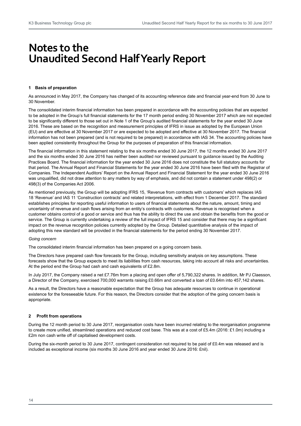## **Notes to the Unaudited Second Half Yearly Report**

#### **1 Basis of preparation**

As announced in May 2017, the Company has changed of its accounting reference date and financial year-end from 30 June to 30 November.

The consolidated interim financial information has been prepared in accordance with the accounting policies that are expected to be adopted in the Group's full financial statements for the 17 month period ending 30 November 2017 which are not expected to be significantly different to those set out in Note 1 of the Group's audited financial statements for the year ended 30 June 2016. These are based on the recognition and measurement principles of IFRS in issue as adopted by the European Union (EU) and are effective at 30 November 2017 or are expected to be adopted and effective at 30 November 2017. The financial information has not been prepared (and is not required to be prepared) in accordance with IAS 34. The accounting policies have been applied consistently throughout the Group for the purposes of preparation of this financial information.

The financial information in this statement relating to the six months ended 30 June 2017, the 12 months ended 30 June 2017 and the six months ended 30 June 2016 has neither been audited nor reviewed pursuant to guidance issued by the Auditing Practices Board. The financial information for the year ended 30 June 2016 does not constitute the full statutory accounts for that period. The Annual Report and Financial Statements for the year ended 30 June 2016 have been filed with the Registrar of Companies. The Independent Auditors' Report on the Annual Report and Financial Statement for the year ended 30 June 2016 was unqualified, did not draw attention to any matters by way of emphasis, and did not contain a statement under 498(2) or 498(3) of the Companies Act 2006.

As mentioned previously, the Group will be adopting IFRS 15, 'Revenue from contracts with customers' which replaces IAS 18 'Revenue' and IAS 11 'Construction contracts' and related interpretations, with effect from 1 December 2017. The standard establishes principles for reporting useful information to users of financial statements about the nature, amount, timing and uncertainty of revenue and cash flows arising from an entity's contracts with customers. Revenue is recognised when a customer obtains control of a good or service and thus has the ability to direct the use and obtain the benefits from the good or service. The Group is currently undertaking a review of the full impact of IFRS 15 and consider that there may be a significant impact on the revenue recognition policies currently adopted by the Group. Detailed quantitative analysis of the impact of adopting this new standard will be provided in the financial statements for the period ending 30 November 2017.

#### *Going concern*

The consolidated interim financial information has been prepared on a going concern basis.

The Directors have prepared cash flow forecasts for the Group, including sensitivity analysis on key assumptions. These forecasts show that the Group expects to meet its liabilities from cash resources, taking into account all risks and uncertainties. At the period end the Group had cash and cash equivalents of £2.8m.

In July 2017, the Company raised a net £7.76m from a placing and open offer of 5,790,322 shares. In addition, Mr PJ Claesson, a Director of the Company, exercised 700,000 warrants raising £0.66m and converted a loan of £0.64m into 457,142 shares.

As a result, the Directors have a reasonable expectation that the Group has adequate resources to continue in operational existence for the foreseeable future. For this reason, the Directors consider that the adoption of the going concern basis is appropriate.

#### **2 Profit from operations**

During the 12 month period to 30 June 2017, reorganisation costs have been incurred relating to the reorganisation programme to create more unified, streamlined operations and reduced cost base. This was at a cost of £5.4m (2016: £1.0m) including a £2m non cash write off of capitalised development costs.

During the six-month period to 30 June 2017, contingent consideration not required to be paid of £0.4m was released and is included as exceptional income (six months 30 June 2016 and year ended 30 June 2016: £nil).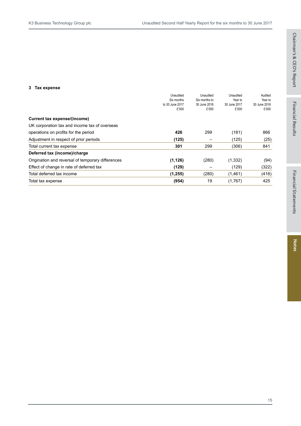#### **3 Tax expense**

|                                                   | Unaudited<br>Six months<br>to 30 June 2017 | Unaudited<br>Six months to<br>30 June 2016 | Unaudited<br>Year to<br>30 June 2017 | Audited<br>Year to<br>30 June 2016 |
|---------------------------------------------------|--------------------------------------------|--------------------------------------------|--------------------------------------|------------------------------------|
|                                                   | £'000                                      | £'000                                      | £'000                                | £'000                              |
| Current tax expense/(income)                      |                                            |                                            |                                      |                                    |
| UK corporation tax and income tax of overseas     |                                            |                                            |                                      |                                    |
| operations on profits for the period              | 426                                        | 299                                        | (181)                                | 866                                |
| Adjustment in respect of prior periods            | (125)                                      |                                            | (125)                                | (25)                               |
| Total current tax expense                         | 301                                        | 299                                        | (306)                                | 841                                |
| Deferred tax (income)/charge                      |                                            |                                            |                                      |                                    |
| Origination and reversal of temporary differences | (1, 126)                                   | (280)                                      | (1, 332)                             | (94)                               |
| Effect of change in rate of deferred tax          | (129)                                      |                                            | (129)                                | (322)                              |
| Total deferred tax income                         | (1,255)                                    | (280)                                      | (1, 461)                             | (416)                              |
| Total tax expense                                 | (954)                                      | 19                                         | (1,767)                              | 425                                |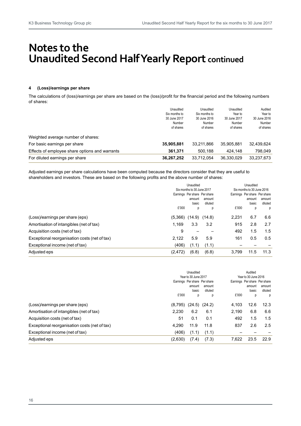# **Notes to the Unaudited Second Half Yearly Report continued**

#### **4 (Loss)/earnings per share**

The calculations of (loss)/earnings per share are based on the (loss)/profit for the financial period and the following numbers of shares:

|                                                | Unaudited<br>Six months to<br>30 June 2017<br>Number<br>of shares | Unaudited<br>Six months to<br>30 June 2016<br><b>Number</b><br>of shares | Unaudited<br>Year to<br>30 June 2017<br><b>Number</b><br>of shares | Audited<br>Year to<br>30 June 2016<br>Number<br>of shares |
|------------------------------------------------|-------------------------------------------------------------------|--------------------------------------------------------------------------|--------------------------------------------------------------------|-----------------------------------------------------------|
| Weighted average number of shares:             |                                                                   |                                                                          |                                                                    |                                                           |
| For basic earnings per share                   | 35,905,881                                                        | 33.211.866                                                               | 35,905,881                                                         | 32.439.624                                                |
| Effects of employee share options and warrants | 361.371                                                           | 500.188                                                                  | 424.148                                                            | 798.049                                                   |
| For diluted earnings per share                 | 36,267,252                                                        | 33.712.054                                                               | 36,330,029                                                         | 33,237,673                                                |

Adjusted earnings per share calculations have been computed because the directors consider that they are useful to shareholders and investors. These are based on the following profits and the above number of shares:

|                                               | Unaudited<br>Six months to 30 June 2017 |        |        |                  | Unaudited<br>Six months to 30 June 2016 |                              |         |        |
|-----------------------------------------------|-----------------------------------------|--------|--------|------------------|-----------------------------------------|------------------------------|---------|--------|
|                                               |                                         |        |        |                  |                                         |                              |         |        |
|                                               | Earnings Per share Per share            |        |        |                  |                                         | Earnings Per share Per share |         |        |
|                                               |                                         |        |        | amount           | amount                                  |                              | amount  | amount |
|                                               |                                         |        |        | diluted<br>basic |                                         | basic                        | diluted |        |
|                                               | £'000                                   | р      | р      | £'000            | p                                       | р                            |         |        |
| (Loss)/earnings per share (eps)               | (5,366)                                 | (14.9) | (14.8) | 2,231            | 6.7                                     | 6.6                          |         |        |
| Amortisation of intangibles (net of tax)      | 1,169                                   | 3.3    | 3.2    | 915              | 2.8                                     | 2.7                          |         |        |
| Acquisition costs (net of tax)                | 9                                       |        |        | 492              | 1.5                                     | 1.5                          |         |        |
| Exceptional reorganisation costs (net of tax) | 2.122                                   | 5.9    | 5.9    | 161              | 0.5                                     | 0.5                          |         |        |
| Exceptional income (net of tax)               | (406)                                   | (1.1)  | (1.1)  |                  |                                         |                              |         |        |
| Adjusted eps                                  | (2, 472)                                | (6.8)  | (6.8)  | 3,799            | 11.5                                    | 11.3                         |         |        |

|                                               |                              | Unaudited |         |                              | Audited              |         |  |
|-----------------------------------------------|------------------------------|-----------|---------|------------------------------|----------------------|---------|--|
|                                               | Year to 30 June 2017         |           |         |                              | Year to 30 June 2016 |         |  |
|                                               | Earnings Per share Per share |           |         | Earnings Per share Per share |                      |         |  |
|                                               |                              | amount    | amount  |                              | amount               | amount  |  |
|                                               |                              | basic     | diluted |                              | basic                | diluted |  |
|                                               | £'000                        | р         | р       | £'000                        | р                    | р       |  |
| (Loss)/earnings per share (eps)               | (8,795)                      | (24.5)    | (24.2)  | 4,103                        | 12.6                 | 12.3    |  |
| Amortisation of intangibles (net of tax)      | 2.230                        | 6.2       | 6.1     | 2.190                        | 6.8                  | 6.6     |  |
| Acquisition costs (net of tax)                | 51                           | 0.1       | 0.1     | 492                          | 1.5                  | 1.5     |  |
| Exceptional reorganisation costs (net of tax) | 4.290                        | 11.9      | 11.8    | 837                          | 2.6                  | 2.5     |  |
| Exceptional income (net of tax)               | (406)                        | (1.1      | (1.1)   |                              |                      |         |  |
| Adjusted eps                                  | (2,630)                      | (7.4)     | (7.3)   | 7.622                        | 23.5                 | 22.9    |  |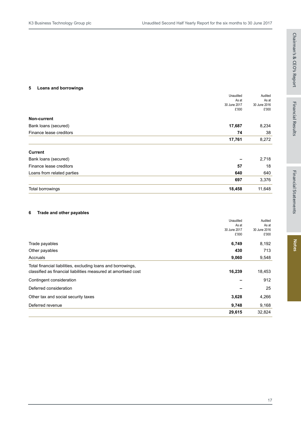#### **5 Loans and borrowings**

|                            | Unaudited<br>As at    | Audited<br>As at      |
|----------------------------|-----------------------|-----------------------|
|                            | 30 June 2017<br>£'000 | 30 June 2016<br>£'000 |
| Non-current                |                       |                       |
| Bank loans (secured)       | 17,687                | 8,234                 |
| Finance lease creditors    | 74                    | 38                    |
|                            | 17,761                | 8,272                 |
| <b>Current</b>             |                       |                       |
| Bank loans (secured)       |                       | 2,718                 |
| Finance lease creditors    | 57                    | 18                    |
| Loans from related parties | 640                   | 640                   |
|                            | 697                   | 3,376                 |

| Total borrowings | 18,458 | 11,648 |
|------------------|--------|--------|

#### **6 Trade and other payables**

|                                                                | Unaudited    | Audited      |
|----------------------------------------------------------------|--------------|--------------|
|                                                                | As at        | As at        |
|                                                                | 30 June 2017 | 30 June 2016 |
|                                                                | £'000        | £'000        |
| Trade payables                                                 | 6,749        | 8,192        |
| Other payables                                                 | 430          | 713          |
| Accruals                                                       | 9,060        | 9,548        |
| Total financial liabilities, excluding loans and borrowings,   |              |              |
| classified as financial liabilities measured at amortised cost | 16,239       | 18,453       |
| Contingent consideration                                       |              | 912          |
| Deferred consideration                                         |              | 25           |
| Other tax and social security taxes                            | 3,628        | 4,266        |
| Deferred revenue                                               | 9,748        | 9,168        |
|                                                                | 29,615       | 32,824       |
|                                                                |              |              |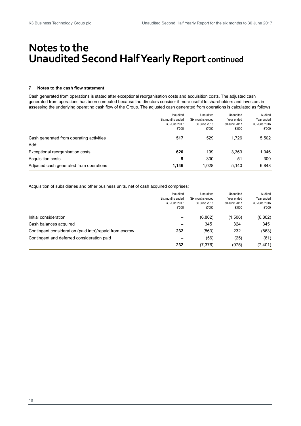# **Notes to the Unaudited Second Half Yearly Report continued**

#### **7 Notes to the cash flow statement**

Cash generated from operations is stated after exceptional reorganisation costs and acquisition costs. The adjusted cash generated from operations has been computed because the directors consider it more useful to shareholders and investors in assessing the underlying operating cash flow of the Group. The adjusted cash generated from operations is calculated as follows:

|                                          | Unaudited        | Unaudited        | Unaudited    | Audited      |
|------------------------------------------|------------------|------------------|--------------|--------------|
|                                          | Six months ended | Six months ended | Year ended   | Year ended   |
|                                          | 30 June 2017     | 30 June 2016     | 30 June 2017 | 30 June 2016 |
|                                          | £'000            | £'000            | £'000        | £'000        |
| Cash generated from operating activities | 517              | 529              | 1.726        | 5,502        |
| Add:                                     |                  |                  |              |              |
| Exceptional reorganisation costs         | 620              | 199              | 3.363        | 1,046        |
| <b>Acquisition costs</b>                 | 9                | 300              | 51           | 300          |
| Adjusted cash generated from operations  | 1.146            | 1.028            | 5.140        | 6,848        |

Acquisition of subsidiaries and other business units, net of cash acquired comprises:

|                                                         | Unaudited        | Unaudited        | Unaudited    | Audited      |
|---------------------------------------------------------|------------------|------------------|--------------|--------------|
|                                                         | Six months ended | Six months ended | Year ended   | Year ended   |
|                                                         | 30 June 2017     | 30 June 2016     | 30 June 2017 | 30 June 2016 |
|                                                         | £'000            | £'000            | £'000        | £'000        |
| Initial consideration                                   |                  | (6,802)          | (1,506)      | (6,802)      |
| Cash balances acquired                                  |                  | 345              | 324          | 345          |
| Contingent consideration (paid into)/repaid from escrow | 232              | (863)            | 232          | (863)        |
| Contingent and deferred consideration paid              |                  | (56)             | (25)         | (81)         |
|                                                         | 232              | (7,376)          | (975)        | (7, 401)     |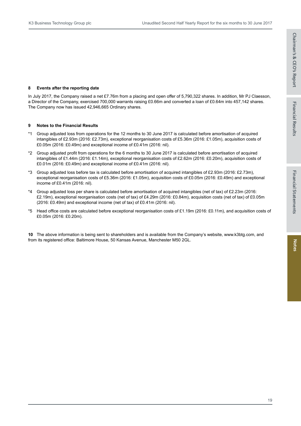#### **8 Events after the reporting date**

In July 2017, the Company raised a net £7.76m from a placing and open offer of 5,790,322 shares. In addition, Mr PJ Claesson, a Director of the Company, exercised 700,000 warrants raising £0.66m and converted a loan of £0.64m into 457,142 shares. The Company now has issued 42,946,665 Ordinary shares.

#### **9 Notes to the Financial Results**

- \*1 Group adjusted loss from operations for the 12 months to 30 June 2017 is calculated before amortisation of acquired intangibles of £2.93m (2016: £2.73m), exceptional reorganisation costs of £5.36m (2016: £1.05m), acquisition costs of £0.05m (2016: £0.49m) and exceptional income of £0.41m (2016: nil).
- \*2 Group adjusted profit from operations for the 6 months to 30 June 2017 is calculated before amortisation of acquired intangibles of £1.44m (2016: £1.14m), exceptional reorganisation costs of £2.62m (2016: £0.20m), acquisition costs of £0.01m (2016: £0.49m) and exceptional income of £0.41m (2016: nil).
- \*3 Group adjusted loss before tax is calculated before amortisation of acquired intangibles of £2.93m (2016: £2.73m), exceptional reorganisation costs of £5.36m (2016: £1.05m), acquisition costs of £0.05m (2016: £0.49m) and exceptional income of £0.41m (2016: nil).
- \*4 Group adjusted loss per share is calculated before amortisation of acquired intangibles (net of tax) of £2.23m (2016: £2.19m), exceptional reorganisation costs (net of tax) of £4.29m (2016: £0.84m), acquisition costs (net of tax) of £0.05m (2016: £0.49m) and exceptional income (net of tax) of £0.41m (2016: nil).
- \*5 Head office costs are calculated before exceptional reorganisation costs of £1.19m (2016: £0.11m), and acquisition costs of £0.05m (2016: £0.20m).

**10** The above information is being sent to shareholders and is available from the Company's website, www.k3btg.com, and from its registered office: Baltimore House, 50 Kansas Avenue, Manchester M50 2GL.